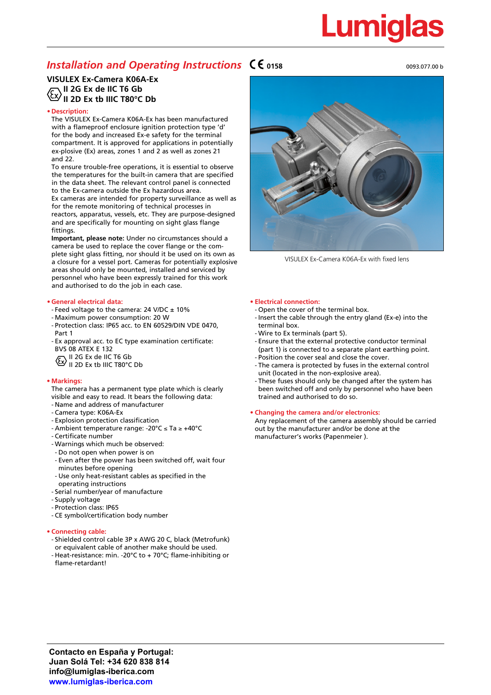# Lumigl

### *Installation and Operating Instructions*  $\mathsf{C}\mathsf{C}$ <sub>0158</sub>

#### 0093.077.00 b

#### **VISULEX Ex-Camera K06A-Ex** الكات المتحدث بن السبب بن المتحدث .<br>II 2G Ex de IIC T6 Gb<br>The F  $\mathrm{V}$ II 2D Ex tb IIIC T80°C Db

#### **• Description:**

The VISULEX Ex-Camera K06A-Ex has been manufactured with a flameproof enclosure ignition protection type 'd' for the body and increased Ex-e safety for the terminal compartment. It is approved for applications in potentially ex-plosive (Ex) areas, zones 1 and 2 as well as zones 21 and 22.

To ensure trouble-free operations, it is essential to observe the temperatures for the built-in camera that are specified in the data sheet. The relevant control panel is connected to the Ex-camera outside the Ex hazardous area. Ex cameras are intended for property surveillance as well as

for the remote monitoring of technical processes in reactors, apparatus, vessels, etc. They are purpose-designed and are specifically for mounting on sight glass flange fittings.

**Important, please note:** Under no circumstances should a camera be used to replace the cover flange or the complete sight glass fitting, nor should it be used on its own as a closure for a vessel port. Cameras for potentially explosive areas should only be mounted, installed and serviced by personnel who have been expressly trained for this work and authorised to do the job in each case.

#### **• General electrical data:**

- Feed voltage to the camera: 24 V/DC  $\pm$  10%
- Maximum power consumption: 20 W
- Protection class: IP65 acc. to EN 60529/DIN VDE 0470, Part 1
- Ex approval acc. to EC type examination certificate: BVS 08 ATEX E 132
- $E \setminus$  II 2G Ex de IIC T6 Gb
- $U \cup$  II 2D Ex tb IIIC T80°C Db

#### **• Markings:**

The camera has a permanent type plate which is clearly visible and easy to read. It bears the following data:

- Name and address of manufacturer
- Camera type: K06A-Ex
- Explosion protection classification
- Ambient temperature range: -20°C ≤ Ta ≥ +40°C
- Certificate number
- Warnings which much be observed:
- Do not open when power is on
- Even after the power has been switched off, wait four minutes before opening
- Use only heat-resistant cables as specified in the operating instructions
- Serial number/year of manufacture
- Supply voltage
- Protection class: IP65
- CE symbol/certification body number

#### **• Connecting cable:**

- Shielded control cable 3P x AWG 20 C, black (Metrofunk) or equivalent cable of another make should be used.
- Heat-resistance: min. -20°C to + 70°C; flame-inhibiting or flame-retardant!



VISULEX Ex-Camera K06A-Ex with fixed lens

#### **• Electrical connection:**

- Open the cover of the terminal box.
- Insert the cable through the entry gland (Ex-e) into the terminal box.
- Wire to Ex terminals (part 5).
- Ensure that the external protective conductor terminal (part 1) is connected to a separate plant earthing point. - Position the cover seal and close the cover.
- The camera is protected by fuses in the external control unit (located in the non-explosive area).
- These fuses should only be changed after the system has been switched off and only by personnel who have been trained and authorised to do so.

#### **• Changing the camera and/or electronics:**

Any replacement of the camera assembly should be carried out by the manufacturer and/or be done at the manufacturer's works (Papenmeier ).